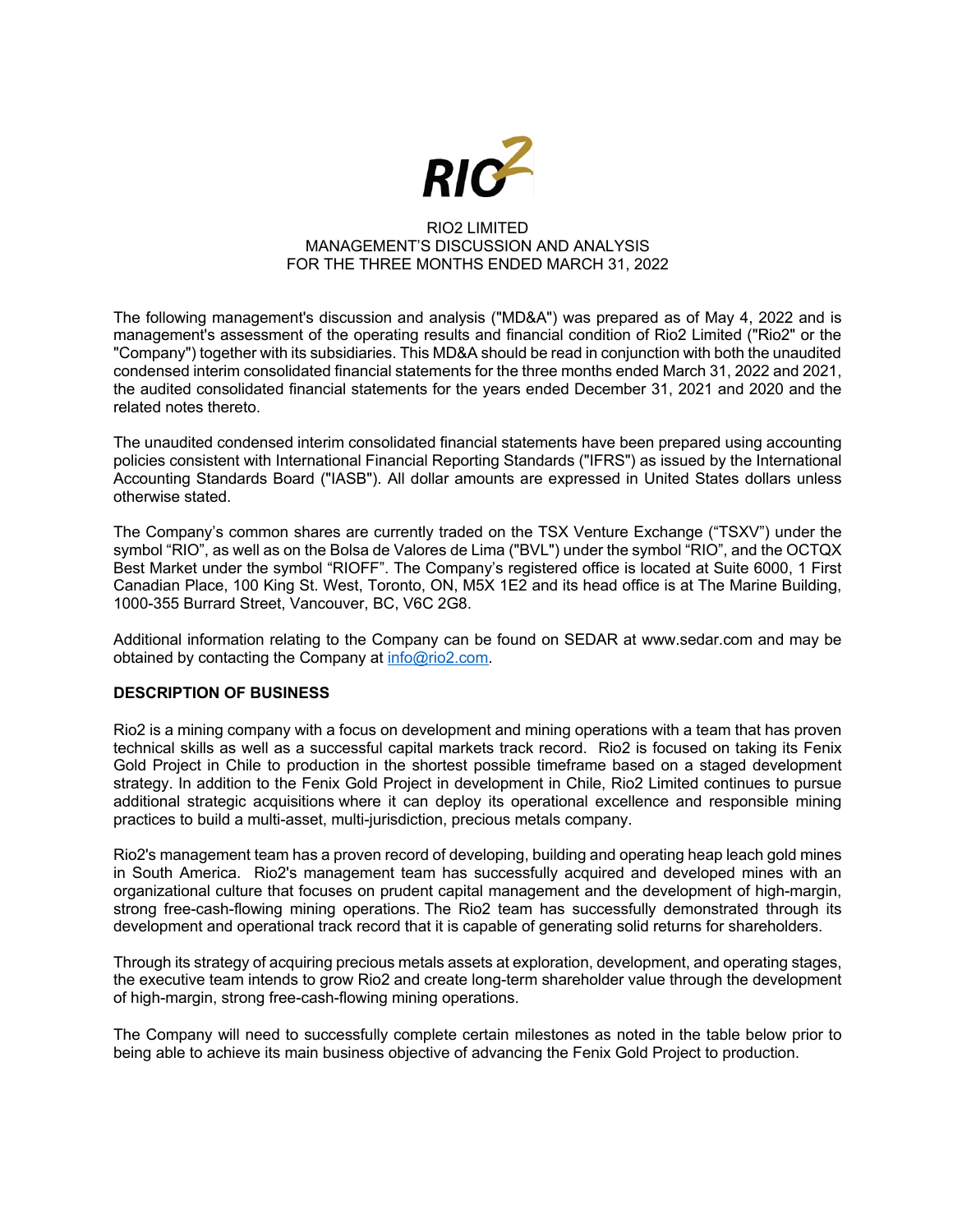

### RIO2 LIMITED MANAGEMENT'S DISCUSSION AND ANALYSIS FOR THE THREE MONTHS ENDED MARCH 31, 2022

The following management's discussion and analysis ("MD&A") was prepared as of May 4, 2022 and is management's assessment of the operating results and financial condition of Rio2 Limited ("Rio2" or the "Company") together with its subsidiaries. This MD&A should be read in conjunction with both the unaudited condensed interim consolidated financial statements for the three months ended March 31, 2022 and 2021, the audited consolidated financial statements for the years ended December 31, 2021 and 2020 and the related notes thereto.

The unaudited condensed interim consolidated financial statements have been prepared using accounting policies consistent with International Financial Reporting Standards ("IFRS") as issued by the International Accounting Standards Board ("IASB"). All dollar amounts are expressed in United States dollars unless otherwise stated.

The Company's common shares are currently traded on the TSX Venture Exchange ("TSXV") under the symbol "RIO", as well as on the Bolsa de Valores de Lima ("BVL") under the symbol "RIO", and the OCTQX Best Market under the symbol "RIOFF". The Company's registered office is located at Suite 6000, 1 First Canadian Place, 100 King St. West, Toronto, ON, M5X 1E2 and its head office is at The Marine Building, 1000-355 Burrard Street, Vancouver, BC, V6C 2G8.

Additional information relating to the Company can be found on SEDAR at www.sedar.com and may be obtained by contacting the Company at info@rio2.com.

# **DESCRIPTION OF BUSINESS**

Rio2 is a mining company with a focus on development and mining operations with a team that has proven technical skills as well as a successful capital markets track record. Rio2 is focused on taking its Fenix Gold Project in Chile to production in the shortest possible timeframe based on a staged development strategy. In addition to the Fenix Gold Project in development in Chile, Rio2 Limited continues to pursue additional strategic acquisitions where it can deploy its operational excellence and responsible mining practices to build a multi-asset, multi-jurisdiction, precious metals company.

Rio2's management team has a proven record of developing, building and operating heap leach gold mines in South America. Rio2's management team has successfully acquired and developed mines with an organizational culture that focuses on prudent capital management and the development of high-margin, strong free-cash-flowing mining operations. The Rio2 team has successfully demonstrated through its development and operational track record that it is capable of generating solid returns for shareholders.

Through its strategy of acquiring precious metals assets at exploration, development, and operating stages, the executive team intends to grow Rio2 and create long-term shareholder value through the development of high-margin, strong free-cash-flowing mining operations.

The Company will need to successfully complete certain milestones as noted in the table below prior to being able to achieve its main business objective of advancing the Fenix Gold Project to production.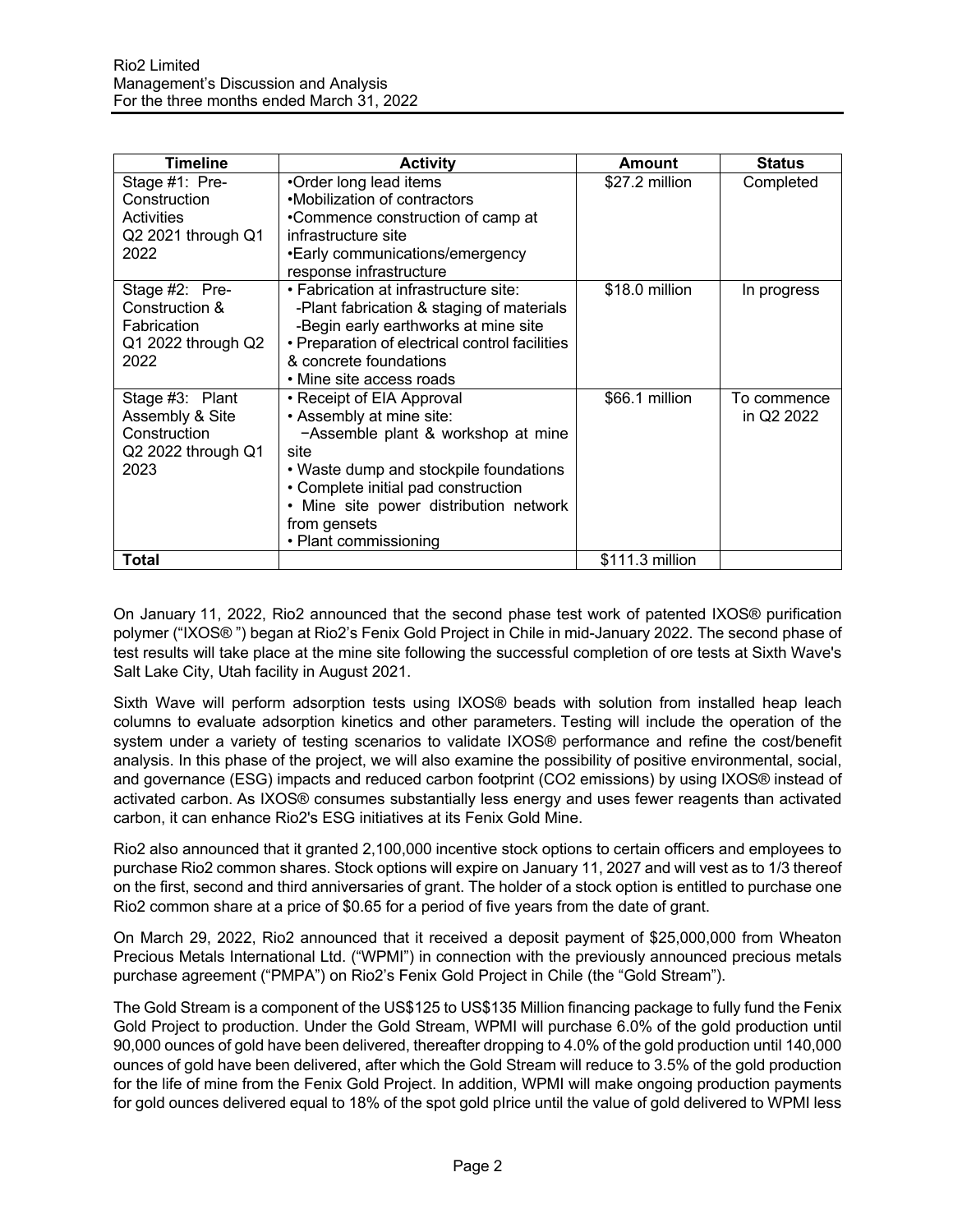| <b>Timeline</b>                                                                  | <b>Activity</b>                                                                                                                                                                                                                                                         | Amount          | <b>Status</b>             |
|----------------------------------------------------------------------------------|-------------------------------------------------------------------------------------------------------------------------------------------------------------------------------------------------------------------------------------------------------------------------|-----------------|---------------------------|
| Stage #1: Pre-<br>Construction<br>Activities<br>Q2 2021 through Q1<br>2022       | •Order long lead items<br>•Mobilization of contractors<br>•Commence construction of camp at<br>infrastructure site<br>•Early communications/emergency<br>response infrastructure                                                                                        | \$27.2 million  | Completed                 |
| Stage #2: Pre-<br>Construction &<br>Fabrication<br>Q1 2022 through Q2<br>2022    | • Fabrication at infrastructure site:<br>-Plant fabrication & staging of materials<br>-Begin early earthworks at mine site<br>• Preparation of electrical control facilities<br>& concrete foundations<br>• Mine site access roads                                      | \$18.0 million  | In progress               |
| Stage #3: Plant<br>Assembly & Site<br>Construction<br>Q2 2022 through Q1<br>2023 | • Receipt of EIA Approval<br>• Assembly at mine site:<br>-Assemble plant & workshop at mine<br>site<br>• Waste dump and stockpile foundations<br>• Complete initial pad construction<br>• Mine site power distribution network<br>from gensets<br>• Plant commissioning | \$66.1 million  | To commence<br>in Q2 2022 |
| Total                                                                            |                                                                                                                                                                                                                                                                         | \$111.3 million |                           |

On January 11, 2022, Rio2 announced that the second phase test work of patented IXOS® purification polymer ("IXOS® ") began at Rio2's Fenix Gold Project in Chile in mid-January 2022. The second phase of test results will take place at the mine site following the successful completion of ore tests at Sixth Wave's Salt Lake City, Utah facility in August 2021.

Sixth Wave will perform adsorption tests using IXOS® beads with solution from installed heap leach columns to evaluate adsorption kinetics and other parameters. Testing will include the operation of the system under a variety of testing scenarios to validate IXOS® performance and refine the cost/benefit analysis. In this phase of the project, we will also examine the possibility of positive environmental, social, and governance (ESG) impacts and reduced carbon footprint (CO2 emissions) by using IXOS® instead of activated carbon. As IXOS® consumes substantially less energy and uses fewer reagents than activated carbon, it can enhance Rio2's ESG initiatives at its Fenix Gold Mine.

Rio2 also announced that it granted 2,100,000 incentive stock options to certain officers and employees to purchase Rio2 common shares. Stock options will expire on January 11, 2027 and will vest as to 1/3 thereof on the first, second and third anniversaries of grant. The holder of a stock option is entitled to purchase one Rio2 common share at a price of \$0.65 for a period of five years from the date of grant.

On March 29, 2022, Rio2 announced that it received a deposit payment of \$25,000,000 from Wheaton Precious Metals International Ltd. ("WPMI") in connection with the previously announced precious metals purchase agreement ("PMPA") on Rio2's Fenix Gold Project in Chile (the "Gold Stream").

The Gold Stream is a component of the US\$125 to US\$135 Million financing package to fully fund the Fenix Gold Project to production. Under the Gold Stream, WPMI will purchase 6.0% of the gold production until 90,000 ounces of gold have been delivered, thereafter dropping to 4.0% of the gold production until 140,000 ounces of gold have been delivered, after which the Gold Stream will reduce to 3.5% of the gold production for the life of mine from the Fenix Gold Project. In addition, WPMI will make ongoing production payments for gold ounces delivered equal to 18% of the spot gold pIrice until the value of gold delivered to WPMI less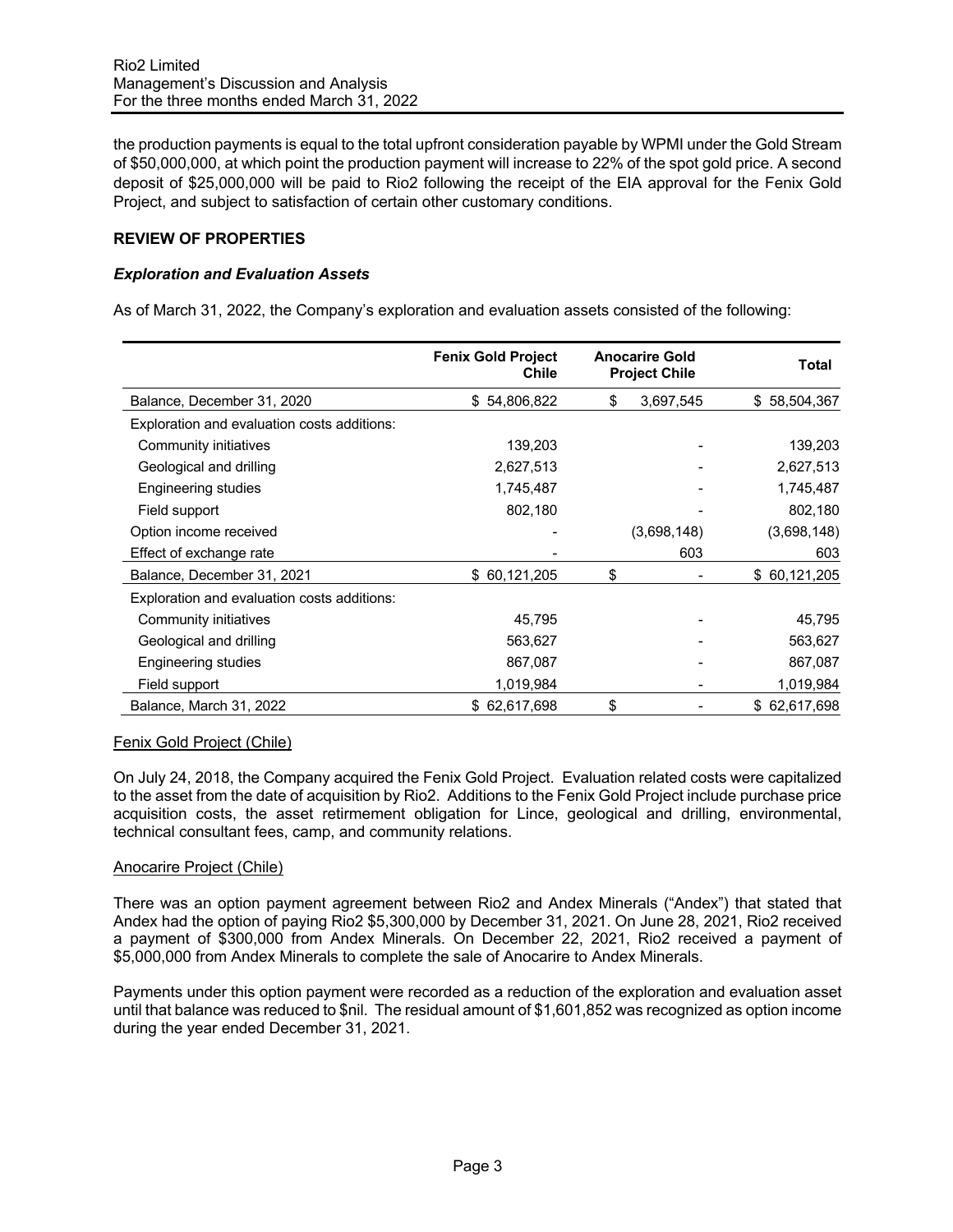the production payments is equal to the total upfront consideration payable by WPMI under the Gold Stream of \$50,000,000, at which point the production payment will increase to 22% of the spot gold price. A second deposit of \$25,000,000 will be paid to Rio2 following the receipt of the EIA approval for the Fenix Gold Project, and subject to satisfaction of certain other customary conditions.

## **REVIEW OF PROPERTIES**

## *Exploration and Evaluation Assets*

As of March 31, 2022, the Company's exploration and evaluation assets consisted of the following:

|                                             | <b>Fenix Gold Project</b><br><b>Chile</b> |    | <b>Anocarire Gold</b><br><b>Project Chile</b> | Total        |
|---------------------------------------------|-------------------------------------------|----|-----------------------------------------------|--------------|
| Balance, December 31, 2020                  | \$54,806,822                              | S  | 3,697,545                                     | \$58,504,367 |
| Exploration and evaluation costs additions: |                                           |    |                                               |              |
| Community initiatives                       | 139,203                                   |    |                                               | 139,203      |
| Geological and drilling                     | 2,627,513                                 |    |                                               | 2,627,513    |
| Engineering studies                         | 1,745,487                                 |    |                                               | 1,745,487    |
| Field support                               | 802,180                                   |    |                                               | 802,180      |
| Option income received                      |                                           |    | (3,698,148)                                   | (3,698,148)  |
| Effect of exchange rate                     |                                           |    | 603                                           | 603          |
| Balance, December 31, 2021                  | \$60,121,205                              | \$ |                                               | \$60,121,205 |
| Exploration and evaluation costs additions: |                                           |    |                                               |              |
| Community initiatives                       | 45,795                                    |    |                                               | 45,795       |
| Geological and drilling                     | 563,627                                   |    |                                               | 563,627      |
| Engineering studies                         | 867,087                                   |    |                                               | 867,087      |
| Field support                               | 1,019,984                                 |    |                                               | 1,019,984    |
| Balance, March 31, 2022                     | \$62,617,698                              | \$ |                                               | \$62,617,698 |

### Fenix Gold Project (Chile)

On July 24, 2018, the Company acquired the Fenix Gold Project. Evaluation related costs were capitalized to the asset from the date of acquisition by Rio2. Additions to the Fenix Gold Project include purchase price acquisition costs, the asset retirmement obligation for Lince, geological and drilling, environmental, technical consultant fees, camp, and community relations.

### Anocarire Project (Chile)

There was an option payment agreement between Rio2 and Andex Minerals ("Andex") that stated that Andex had the option of paying Rio2 \$5,300,000 by December 31, 2021. On June 28, 2021, Rio2 received a payment of \$300,000 from Andex Minerals. On December 22, 2021, Rio2 received a payment of \$5,000,000 from Andex Minerals to complete the sale of Anocarire to Andex Minerals.

Payments under this option payment were recorded as a reduction of the exploration and evaluation asset until that balance was reduced to \$nil. The residual amount of \$1,601,852 was recognized as option income during the year ended December 31, 2021.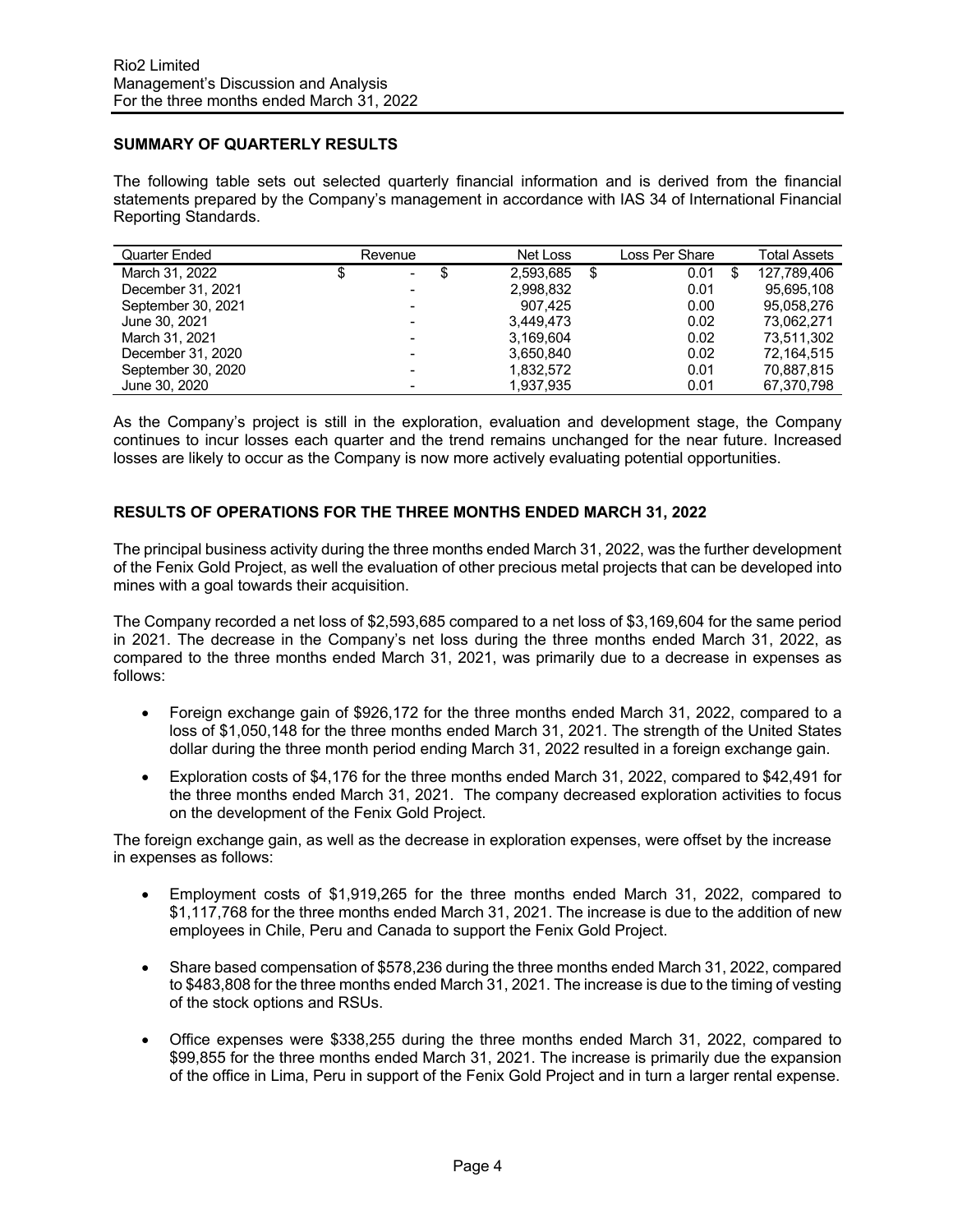## **SUMMARY OF QUARTERLY RESULTS**

The following table sets out selected quarterly financial information and is derived from the financial statements prepared by the Company's management in accordance with IAS 34 of International Financial Reporting Standards.

| Quarter Ended      | Revenue                  | Net Loss  | Loss Per Share | <b>Total Assets</b> |
|--------------------|--------------------------|-----------|----------------|---------------------|
| March 31, 2022     | S<br>٠                   | 2.593.685 | 0.01           | 127.789.406         |
| December 31, 2021  | -                        | 2,998,832 | 0.01           | 95.695.108          |
| September 30, 2021 |                          | 907,425   | 0.00           | 95,058,276          |
| June 30, 2021      | $\overline{\phantom{0}}$ | 3.449.473 | 0.02           | 73.062.271          |
| March 31, 2021     | $\overline{\phantom{0}}$ | 3,169,604 | 0.02           | 73,511,302          |
| December 31, 2020  | $\overline{\phantom{a}}$ | 3,650,840 | 0.02           | 72,164,515          |
| September 30, 2020 | -                        | 1.832.572 | 0.01           | 70.887.815          |
| June 30, 2020      | $\overline{\phantom{a}}$ | 1.937.935 | 0.01           | 67.370.798          |

As the Company's project is still in the exploration, evaluation and development stage, the Company continues to incur losses each quarter and the trend remains unchanged for the near future. Increased losses are likely to occur as the Company is now more actively evaluating potential opportunities.

## **RESULTS OF OPERATIONS FOR THE THREE MONTHS ENDED MARCH 31, 2022**

The principal business activity during the three months ended March 31, 2022, was the further development of the Fenix Gold Project, as well the evaluation of other precious metal projects that can be developed into mines with a goal towards their acquisition.

The Company recorded a net loss of \$2,593,685 compared to a net loss of \$3,169,604 for the same period in 2021. The decrease in the Company's net loss during the three months ended March 31, 2022, as compared to the three months ended March 31, 2021, was primarily due to a decrease in expenses as follows:

- Foreign exchange gain of \$926,172 for the three months ended March 31, 2022, compared to a loss of \$1,050,148 for the three months ended March 31, 2021. The strength of the United States dollar during the three month period ending March 31, 2022 resulted in a foreign exchange gain.
- Exploration costs of \$4,176 for the three months ended March 31, 2022, compared to \$42,491 for the three months ended March 31, 2021. The company decreased exploration activities to focus on the development of the Fenix Gold Project.

The foreign exchange gain, as well as the decrease in exploration expenses, were offset by the increase in expenses as follows:

- Employment costs of \$1,919,265 for the three months ended March 31, 2022, compared to \$1,117,768 for the three months ended March 31, 2021. The increase is due to the addition of new employees in Chile, Peru and Canada to support the Fenix Gold Project.
- Share based compensation of \$578,236 during the three months ended March 31, 2022, compared to \$483,808 for the three months ended March 31, 2021. The increase is due to the timing of vesting of the stock options and RSUs.
- Office expenses were \$338,255 during the three months ended March 31, 2022, compared to \$99,855 for the three months ended March 31, 2021. The increase is primarily due the expansion of the office in Lima, Peru in support of the Fenix Gold Project and in turn a larger rental expense.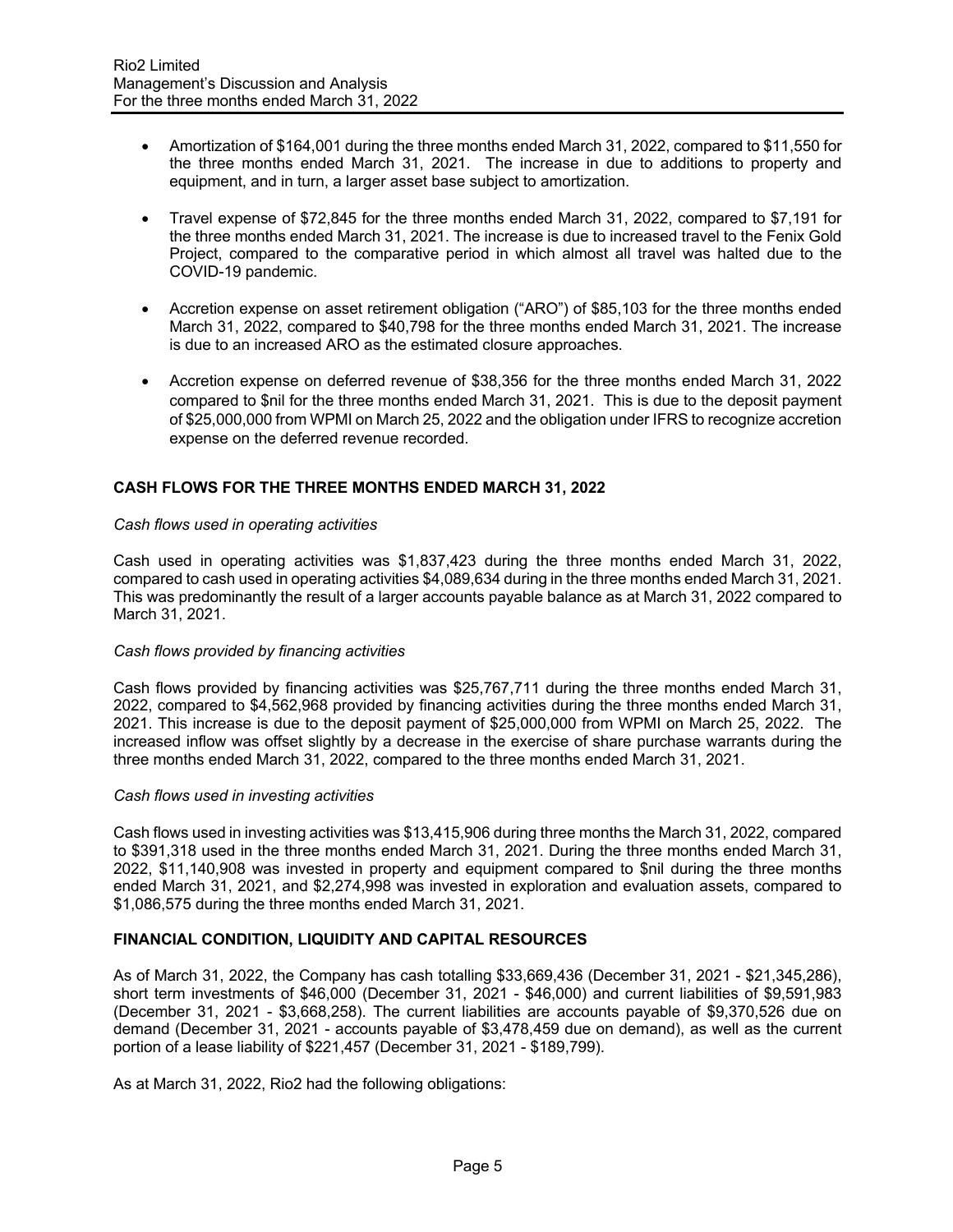- Amortization of \$164,001 during the three months ended March 31, 2022, compared to \$11,550 for the three months ended March 31, 2021. The increase in due to additions to property and equipment, and in turn, a larger asset base subject to amortization.
- Travel expense of \$72,845 for the three months ended March 31, 2022, compared to \$7,191 for the three months ended March 31, 2021. The increase is due to increased travel to the Fenix Gold Project, compared to the comparative period in which almost all travel was halted due to the COVID-19 pandemic.
- Accretion expense on asset retirement obligation ("ARO") of \$85,103 for the three months ended March 31, 2022, compared to \$40,798 for the three months ended March 31, 2021. The increase is due to an increased ARO as the estimated closure approaches.
- Accretion expense on deferred revenue of \$38,356 for the three months ended March 31, 2022 compared to \$nil for the three months ended March 31, 2021. This is due to the deposit payment of \$25,000,000 from WPMI on March 25, 2022 and the obligation under IFRS to recognize accretion expense on the deferred revenue recorded.

# **CASH FLOWS FOR THE THREE MONTHS ENDED MARCH 31, 2022**

#### *Cash flows used in operating activities*

Cash used in operating activities was \$1,837,423 during the three months ended March 31, 2022, compared to cash used in operating activities \$4,089,634 during in the three months ended March 31, 2021. This was predominantly the result of a larger accounts payable balance as at March 31, 2022 compared to March 31, 2021.

### *Cash flows provided by financing activities*

Cash flows provided by financing activities was \$25,767,711 during the three months ended March 31, 2022, compared to \$4,562,968 provided by financing activities during the three months ended March 31, 2021. This increase is due to the deposit payment of \$25,000,000 from WPMI on March 25, 2022. The increased inflow was offset slightly by a decrease in the exercise of share purchase warrants during the three months ended March 31, 2022, compared to the three months ended March 31, 2021.

### *Cash flows used in investing activities*

Cash flows used in investing activities was \$13,415,906 during three months the March 31, 2022, compared to \$391,318 used in the three months ended March 31, 2021. During the three months ended March 31, 2022, \$11,140,908 was invested in property and equipment compared to \$nil during the three months ended March 31, 2021, and \$2,274,998 was invested in exploration and evaluation assets, compared to \$1,086,575 during the three months ended March 31, 2021.

### **FINANCIAL CONDITION, LIQUIDITY AND CAPITAL RESOURCES**

As of March 31, 2022, the Company has cash totalling \$33,669,436 (December 31, 2021 - \$21,345,286), short term investments of \$46,000 (December 31, 2021 - \$46,000) and current liabilities of \$9,591,983 (December 31, 2021 - \$3,668,258). The current liabilities are accounts payable of \$9,370,526 due on demand (December 31, 2021 - accounts payable of \$3,478,459 due on demand), as well as the current portion of a lease liability of \$221,457 (December 31, 2021 - \$189,799).

As at March 31, 2022, Rio2 had the following obligations: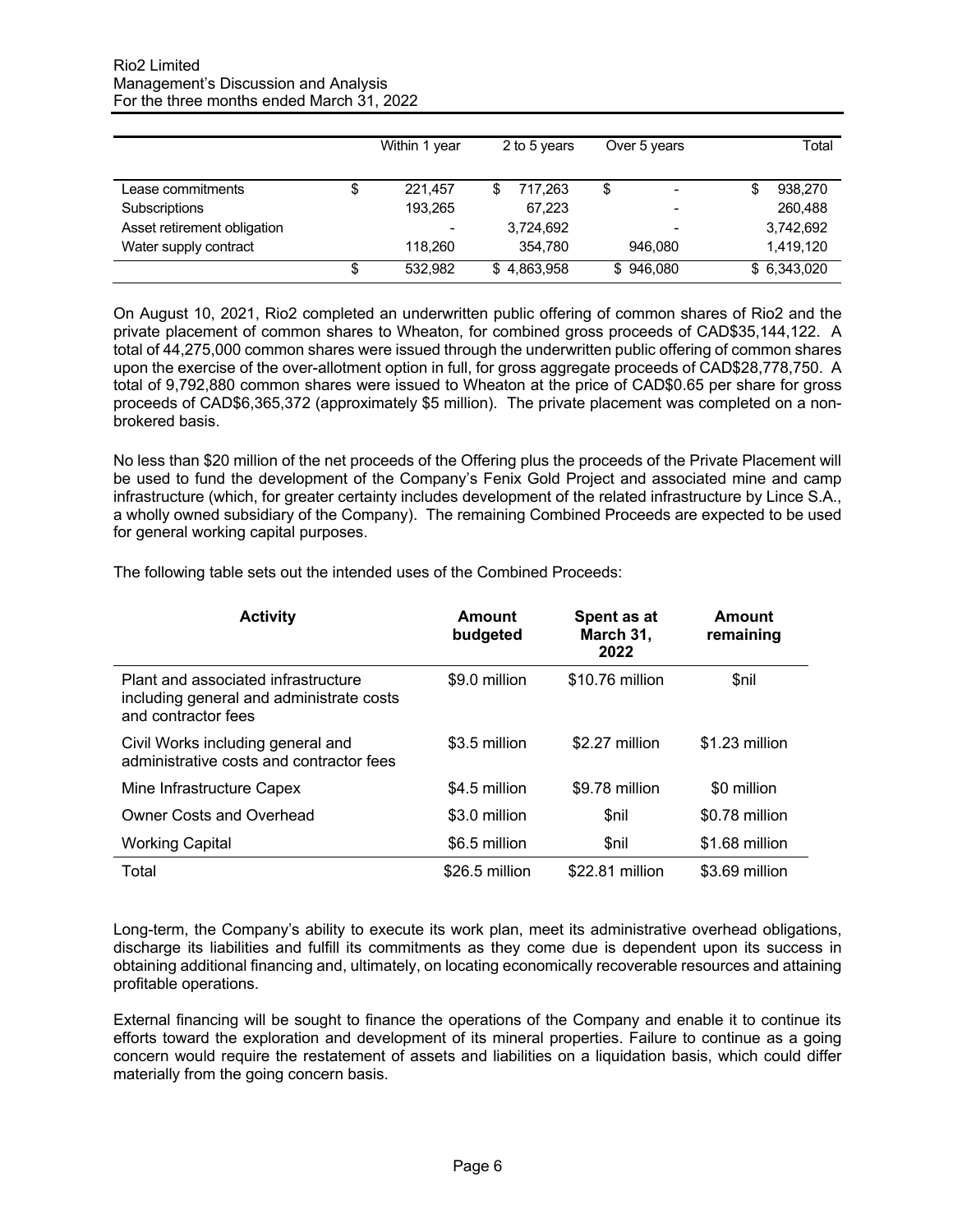|                             |   | Within 1 year | 2 to 5 years     | Over 5 years | Total       |
|-----------------------------|---|---------------|------------------|--------------|-------------|
| Lease commitments           | S | 221.457       | 717.263          | \$           | 938,270     |
| Subscriptions               |   | 193,265       | 67,223           |              | 260,488     |
| Asset retirement obligation |   | -             | 3,724,692        |              | 3,742,692   |
| Water supply contract       |   | 118.260       | 354.780          | 946.080      | 1,419,120   |
|                             | S | 532.982       | 4,863,958<br>\$. | \$946,080    | \$6,343,020 |

On August 10, 2021, Rio2 completed an underwritten public offering of common shares of Rio2 and the private placement of common shares to Wheaton, for combined gross proceeds of CAD\$35,144,122. A total of 44,275,000 common shares were issued through the underwritten public offering of common shares upon the exercise of the over-allotment option in full, for gross aggregate proceeds of CAD\$28,778,750. A total of 9,792,880 common shares were issued to Wheaton at the price of CAD\$0.65 per share for gross proceeds of CAD\$6,365,372 (approximately \$5 million). The private placement was completed on a nonbrokered basis.

No less than \$20 million of the net proceeds of the Offering plus the proceeds of the Private Placement will be used to fund the development of the Company's Fenix Gold Project and associated mine and camp infrastructure (which, for greater certainty includes development of the related infrastructure by Lince S.A., a wholly owned subsidiary of the Company). The remaining Combined Proceeds are expected to be used for general working capital purposes.

| <b>Activity</b>                                                                                        | Amount<br>budgeted | Spent as at<br>March 31,<br>2022 | Amount<br>remaining |
|--------------------------------------------------------------------------------------------------------|--------------------|----------------------------------|---------------------|
| Plant and associated infrastructure<br>including general and administrate costs<br>and contractor fees | \$9.0 million      | \$10.76 million                  | \$nil               |
| Civil Works including general and<br>administrative costs and contractor fees                          | \$3.5 million      | \$2.27 million                   | \$1.23 million      |
| Mine Infrastructure Capex                                                                              | \$4.5 million      | \$9.78 million                   | \$0 million         |
| <b>Owner Costs and Overhead</b>                                                                        | \$3.0 million      | <b>Snil</b>                      | \$0.78 million      |
| <b>Working Capital</b>                                                                                 | \$6.5 million      | <b>Snil</b>                      | \$1.68 million      |
| Total                                                                                                  | \$26.5 million     | \$22.81 million                  | \$3.69 million      |

The following table sets out the intended uses of the Combined Proceeds:

Long-term, the Company's ability to execute its work plan, meet its administrative overhead obligations, discharge its liabilities and fulfill its commitments as they come due is dependent upon its success in obtaining additional financing and, ultimately, on locating economically recoverable resources and attaining profitable operations.

External financing will be sought to finance the operations of the Company and enable it to continue its efforts toward the exploration and development of its mineral properties. Failure to continue as a going concern would require the restatement of assets and liabilities on a liquidation basis, which could differ materially from the going concern basis.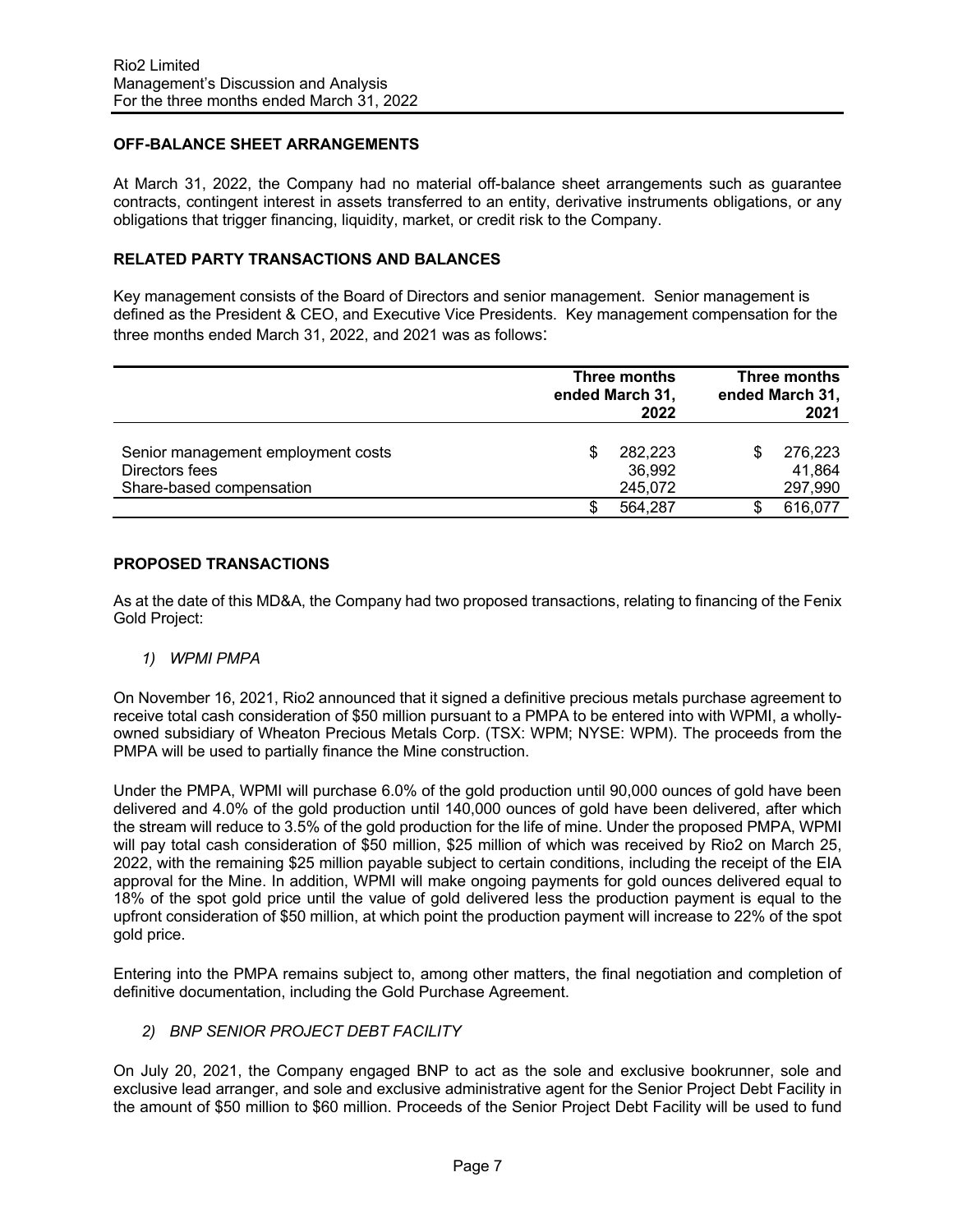## **OFF-BALANCE SHEET ARRANGEMENTS**

At March 31, 2022, the Company had no material off-balance sheet arrangements such as guarantee contracts, contingent interest in assets transferred to an entity, derivative instruments obligations, or any obligations that trigger financing, liquidity, market, or credit risk to the Company.

### **RELATED PARTY TRANSACTIONS AND BALANCES**

Key management consists of the Board of Directors and senior management. Senior management is defined as the President & CEO, and Executive Vice Presidents. Key management compensation for the three months ended March 31, 2022, and 2021 was as follows:

|                                                                                  |   | Three months<br>ended March 31,<br>2022 | Three months<br>ended March 31,<br>2021 |
|----------------------------------------------------------------------------------|---|-----------------------------------------|-----------------------------------------|
| Senior management employment costs<br>Directors fees<br>Share-based compensation | S | 282,223<br>36,992<br>245,072            | 276,223<br>41,864<br>297,990            |
|                                                                                  |   | 564,287                                 | 616,077                                 |

# **PROPOSED TRANSACTIONS**

As at the date of this MD&A, the Company had two proposed transactions, relating to financing of the Fenix Gold Project:

### *1) WPMI PMPA*

On November 16, 2021, Rio2 announced that it signed a definitive precious metals purchase agreement to receive total cash consideration of \$50 million pursuant to a PMPA to be entered into with WPMI, a whollyowned subsidiary of Wheaton Precious Metals Corp. (TSX: WPM; NYSE: WPM). The proceeds from the PMPA will be used to partially finance the Mine construction.

Under the PMPA, WPMI will purchase 6.0% of the gold production until 90,000 ounces of gold have been delivered and 4.0% of the gold production until 140,000 ounces of gold have been delivered, after which the stream will reduce to 3.5% of the gold production for the life of mine. Under the proposed PMPA, WPMI will pay total cash consideration of \$50 million, \$25 million of which was received by Rio2 on March 25, 2022, with the remaining \$25 million payable subject to certain conditions, including the receipt of the EIA approval for the Mine. In addition, WPMI will make ongoing payments for gold ounces delivered equal to 18% of the spot gold price until the value of gold delivered less the production payment is equal to the upfront consideration of \$50 million, at which point the production payment will increase to 22% of the spot gold price.

Entering into the PMPA remains subject to, among other matters, the final negotiation and completion of definitive documentation, including the Gold Purchase Agreement.

### *2) BNP SENIOR PROJECT DEBT FACILITY*

On July 20, 2021, the Company engaged BNP to act as the sole and exclusive bookrunner, sole and exclusive lead arranger, and sole and exclusive administrative agent for the Senior Project Debt Facility in the amount of \$50 million to \$60 million. Proceeds of the Senior Project Debt Facility will be used to fund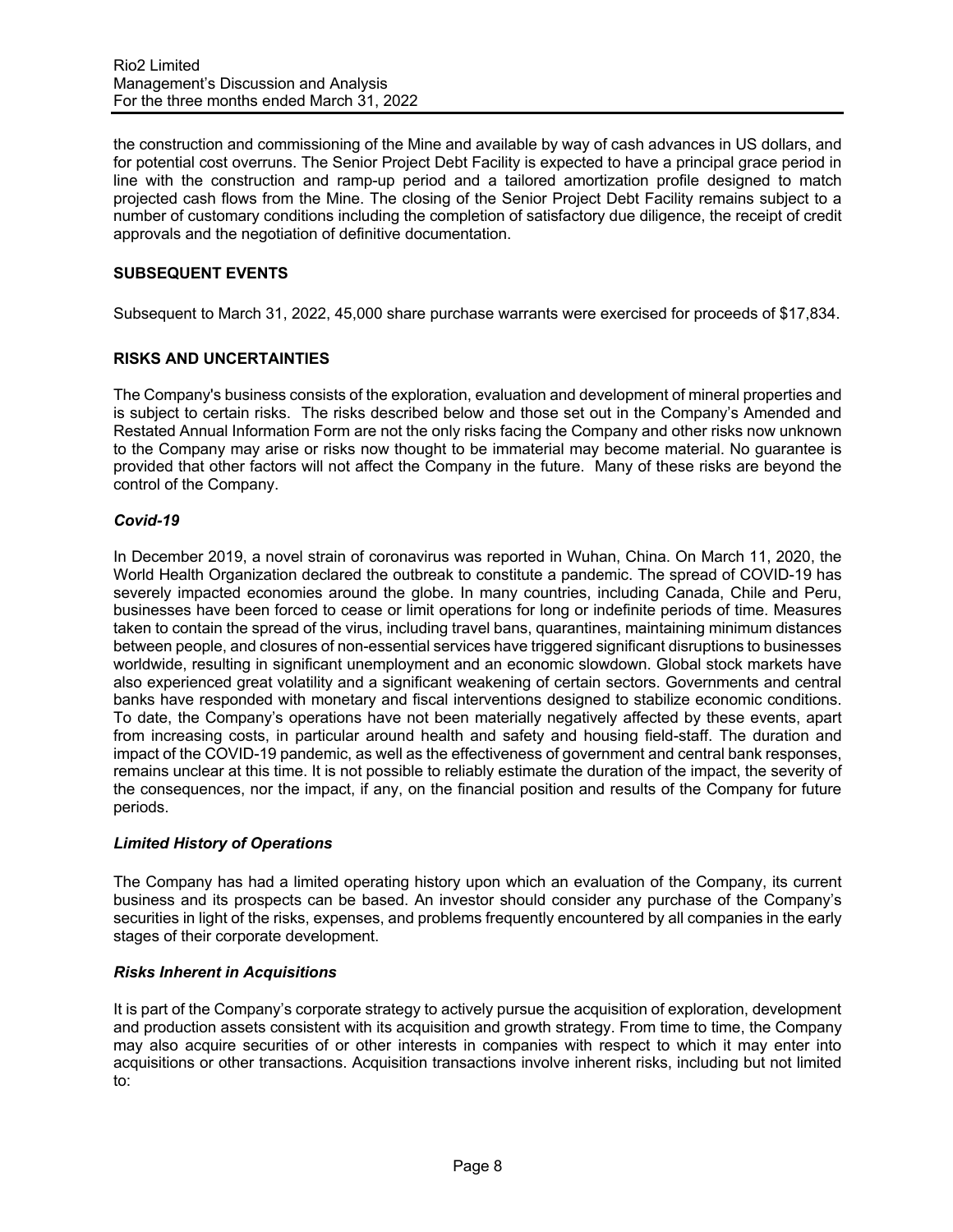the construction and commissioning of the Mine and available by way of cash advances in US dollars, and for potential cost overruns. The Senior Project Debt Facility is expected to have a principal grace period in line with the construction and ramp-up period and a tailored amortization profile designed to match projected cash flows from the Mine. The closing of the Senior Project Debt Facility remains subject to a number of customary conditions including the completion of satisfactory due diligence, the receipt of credit approvals and the negotiation of definitive documentation.

# **SUBSEQUENT EVENTS**

Subsequent to March 31, 2022, 45,000 share purchase warrants were exercised for proceeds of \$17,834.

# **RISKS AND UNCERTAINTIES**

The Company's business consists of the exploration, evaluation and development of mineral properties and is subject to certain risks. The risks described below and those set out in the Company's Amended and Restated Annual Information Form are not the only risks facing the Company and other risks now unknown to the Company may arise or risks now thought to be immaterial may become material. No guarantee is provided that other factors will not affect the Company in the future. Many of these risks are beyond the control of the Company.

## *Covid-19*

In December 2019, a novel strain of coronavirus was reported in Wuhan, China. On March 11, 2020, the World Health Organization declared the outbreak to constitute a pandemic. The spread of COVID-19 has severely impacted economies around the globe. In many countries, including Canada, Chile and Peru, businesses have been forced to cease or limit operations for long or indefinite periods of time. Measures taken to contain the spread of the virus, including travel bans, quarantines, maintaining minimum distances between people, and closures of non-essential services have triggered significant disruptions to businesses worldwide, resulting in significant unemployment and an economic slowdown. Global stock markets have also experienced great volatility and a significant weakening of certain sectors. Governments and central banks have responded with monetary and fiscal interventions designed to stabilize economic conditions. To date, the Company's operations have not been materially negatively affected by these events, apart from increasing costs, in particular around health and safety and housing field-staff. The duration and impact of the COVID-19 pandemic, as well as the effectiveness of government and central bank responses, remains unclear at this time. It is not possible to reliably estimate the duration of the impact, the severity of the consequences, nor the impact, if any, on the financial position and results of the Company for future periods.

# *Limited History of Operations*

The Company has had a limited operating history upon which an evaluation of the Company, its current business and its prospects can be based. An investor should consider any purchase of the Company's securities in light of the risks, expenses, and problems frequently encountered by all companies in the early stages of their corporate development.

# *Risks Inherent in Acquisitions*

It is part of the Company's corporate strategy to actively pursue the acquisition of exploration, development and production assets consistent with its acquisition and growth strategy. From time to time, the Company may also acquire securities of or other interests in companies with respect to which it may enter into acquisitions or other transactions. Acquisition transactions involve inherent risks, including but not limited to: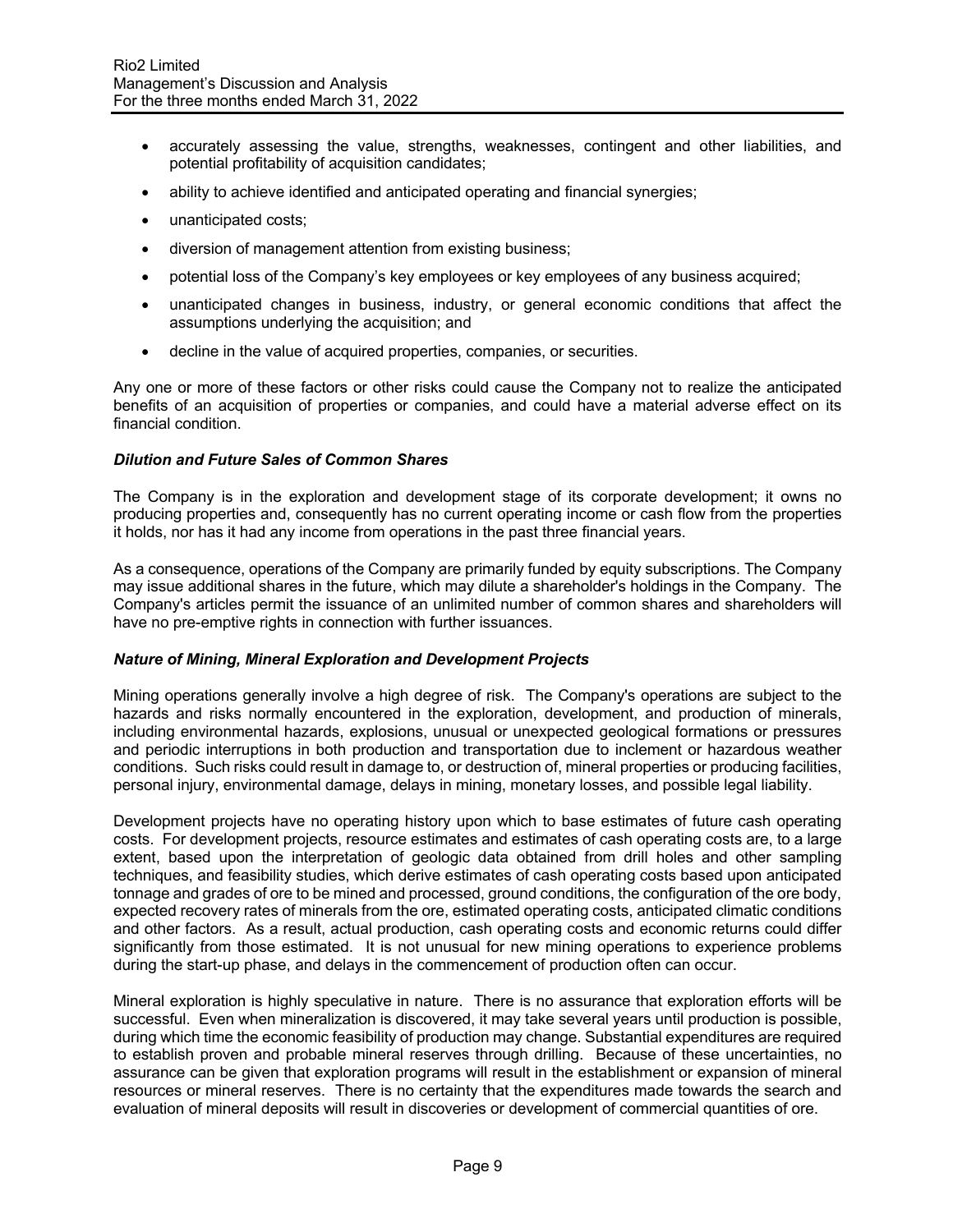- accurately assessing the value, strengths, weaknesses, contingent and other liabilities, and potential profitability of acquisition candidates;
- ability to achieve identified and anticipated operating and financial synergies;
- unanticipated costs;
- diversion of management attention from existing business;
- potential loss of the Company's key employees or key employees of any business acquired;
- unanticipated changes in business, industry, or general economic conditions that affect the assumptions underlying the acquisition; and
- decline in the value of acquired properties, companies, or securities.

Any one or more of these factors or other risks could cause the Company not to realize the anticipated benefits of an acquisition of properties or companies, and could have a material adverse effect on its financial condition.

### *Dilution and Future Sales of Common Shares*

The Company is in the exploration and development stage of its corporate development; it owns no producing properties and, consequently has no current operating income or cash flow from the properties it holds, nor has it had any income from operations in the past three financial years.

As a consequence, operations of the Company are primarily funded by equity subscriptions. The Company may issue additional shares in the future, which may dilute a shareholder's holdings in the Company. The Company's articles permit the issuance of an unlimited number of common shares and shareholders will have no pre-emptive rights in connection with further issuances.

### *Nature of Mining, Mineral Exploration and Development Projects*

Mining operations generally involve a high degree of risk. The Company's operations are subject to the hazards and risks normally encountered in the exploration, development, and production of minerals, including environmental hazards, explosions, unusual or unexpected geological formations or pressures and periodic interruptions in both production and transportation due to inclement or hazardous weather conditions. Such risks could result in damage to, or destruction of, mineral properties or producing facilities, personal injury, environmental damage, delays in mining, monetary losses, and possible legal liability.

Development projects have no operating history upon which to base estimates of future cash operating costs. For development projects, resource estimates and estimates of cash operating costs are, to a large extent, based upon the interpretation of geologic data obtained from drill holes and other sampling techniques, and feasibility studies, which derive estimates of cash operating costs based upon anticipated tonnage and grades of ore to be mined and processed, ground conditions, the configuration of the ore body, expected recovery rates of minerals from the ore, estimated operating costs, anticipated climatic conditions and other factors. As a result, actual production, cash operating costs and economic returns could differ significantly from those estimated. It is not unusual for new mining operations to experience problems during the start-up phase, and delays in the commencement of production often can occur.

Mineral exploration is highly speculative in nature. There is no assurance that exploration efforts will be successful. Even when mineralization is discovered, it may take several years until production is possible, during which time the economic feasibility of production may change. Substantial expenditures are required to establish proven and probable mineral reserves through drilling. Because of these uncertainties, no assurance can be given that exploration programs will result in the establishment or expansion of mineral resources or mineral reserves. There is no certainty that the expenditures made towards the search and evaluation of mineral deposits will result in discoveries or development of commercial quantities of ore.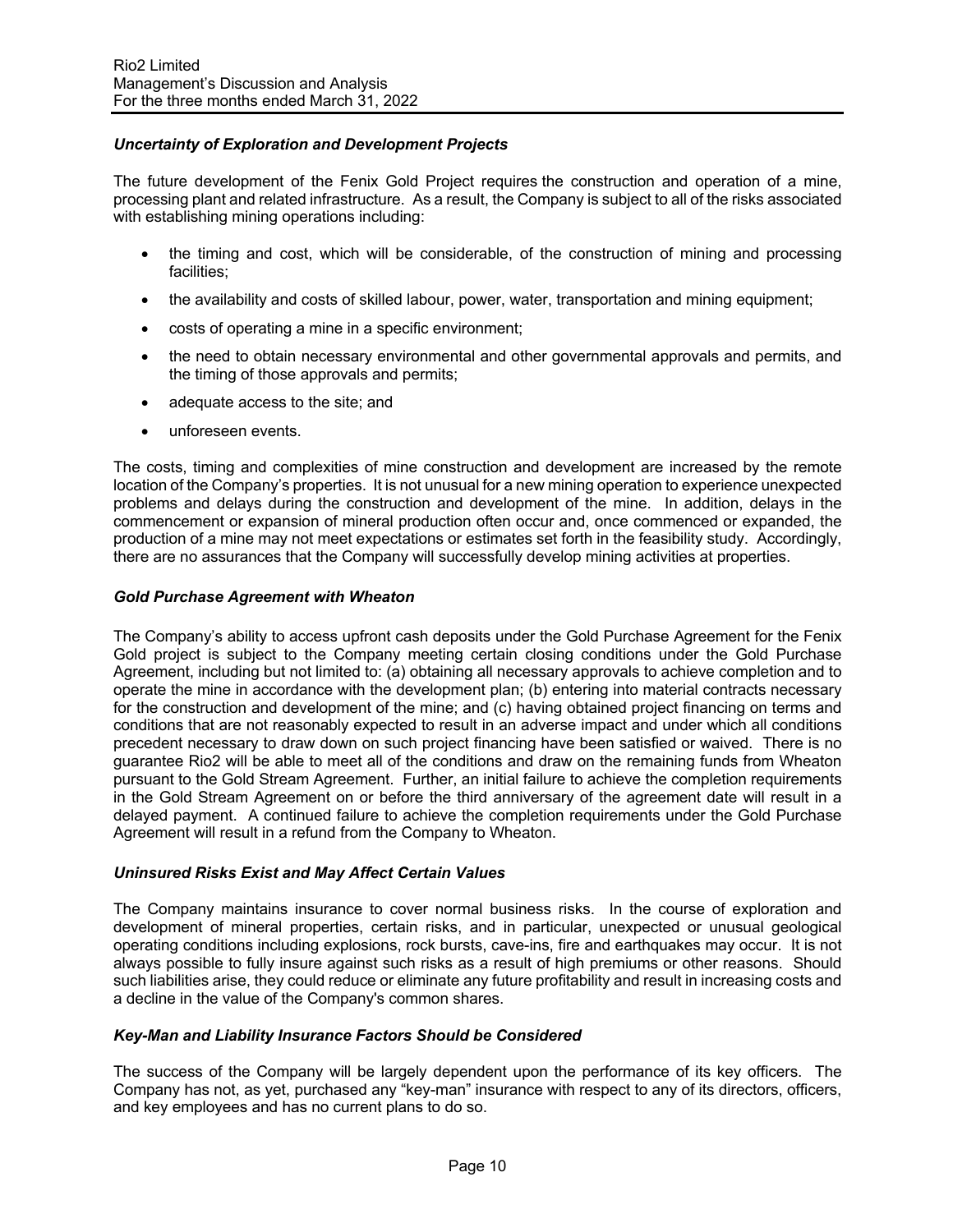# *Uncertainty of Exploration and Development Projects*

The future development of the Fenix Gold Project requires the construction and operation of a mine, processing plant and related infrastructure. As a result, the Company is subject to all of the risks associated with establishing mining operations including:

- the timing and cost, which will be considerable, of the construction of mining and processing facilities;
- the availability and costs of skilled labour, power, water, transportation and mining equipment;
- costs of operating a mine in a specific environment;
- the need to obtain necessary environmental and other governmental approvals and permits, and the timing of those approvals and permits;
- adequate access to the site; and
- unforeseen events.

The costs, timing and complexities of mine construction and development are increased by the remote location of the Company's properties. It is not unusual for a new mining operation to experience unexpected problems and delays during the construction and development of the mine. In addition, delays in the commencement or expansion of mineral production often occur and, once commenced or expanded, the production of a mine may not meet expectations or estimates set forth in the feasibility study. Accordingly, there are no assurances that the Company will successfully develop mining activities at properties.

### *Gold Purchase Agreement with Wheaton*

The Company's ability to access upfront cash deposits under the Gold Purchase Agreement for the Fenix Gold project is subject to the Company meeting certain closing conditions under the Gold Purchase Agreement, including but not limited to: (a) obtaining all necessary approvals to achieve completion and to operate the mine in accordance with the development plan; (b) entering into material contracts necessary for the construction and development of the mine; and (c) having obtained project financing on terms and conditions that are not reasonably expected to result in an adverse impact and under which all conditions precedent necessary to draw down on such project financing have been satisfied or waived. There is no guarantee Rio2 will be able to meet all of the conditions and draw on the remaining funds from Wheaton pursuant to the Gold Stream Agreement. Further, an initial failure to achieve the completion requirements in the Gold Stream Agreement on or before the third anniversary of the agreement date will result in a delayed payment. A continued failure to achieve the completion requirements under the Gold Purchase Agreement will result in a refund from the Company to Wheaton.

### *Uninsured Risks Exist and May Affect Certain Values*

The Company maintains insurance to cover normal business risks. In the course of exploration and development of mineral properties, certain risks, and in particular, unexpected or unusual geological operating conditions including explosions, rock bursts, cave-ins, fire and earthquakes may occur. It is not always possible to fully insure against such risks as a result of high premiums or other reasons. Should such liabilities arise, they could reduce or eliminate any future profitability and result in increasing costs and a decline in the value of the Company's common shares.

### *Key-Man and Liability Insurance Factors Should be Considered*

The success of the Company will be largely dependent upon the performance of its key officers. The Company has not, as yet, purchased any "key-man" insurance with respect to any of its directors, officers, and key employees and has no current plans to do so.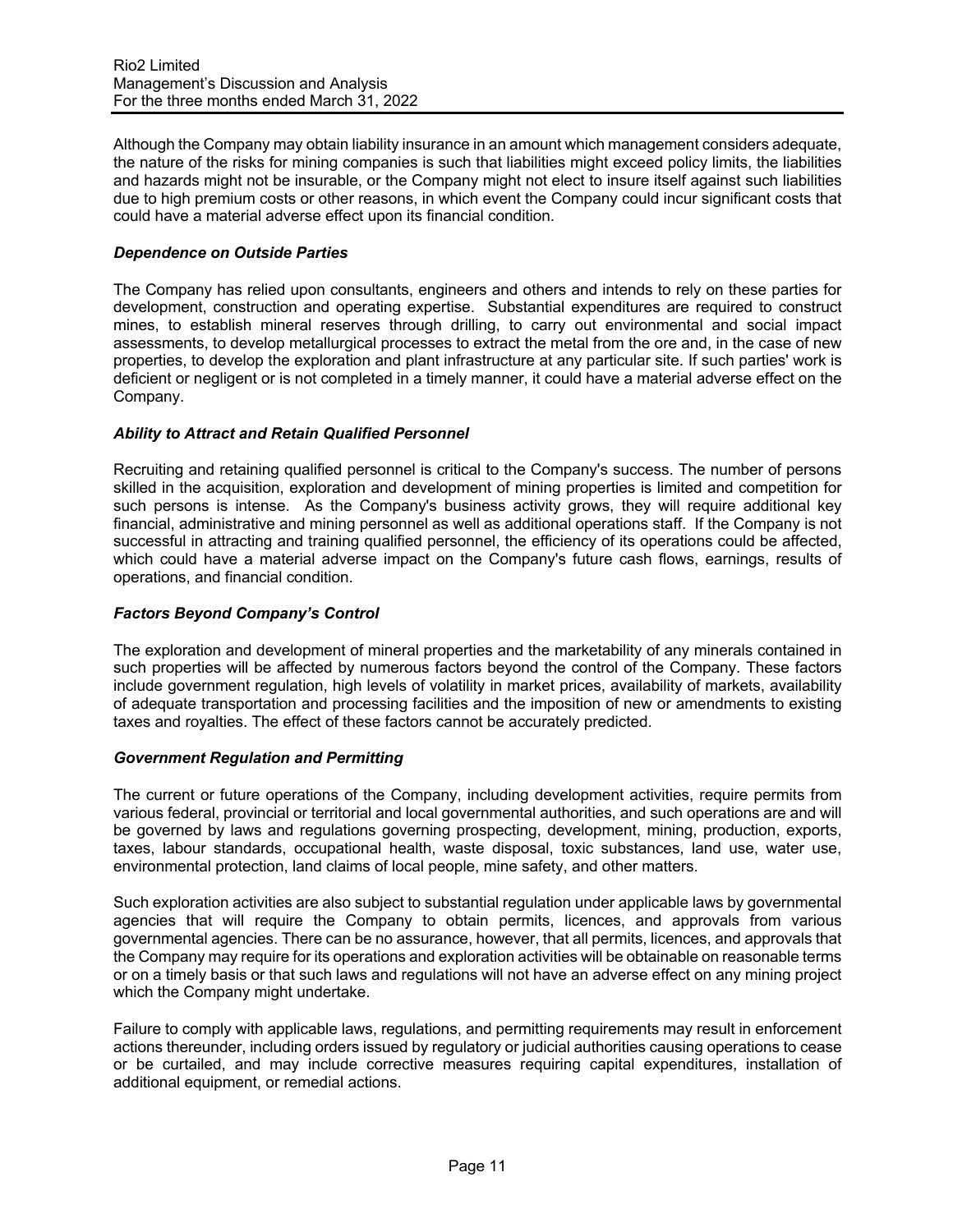Although the Company may obtain liability insurance in an amount which management considers adequate, the nature of the risks for mining companies is such that liabilities might exceed policy limits, the liabilities and hazards might not be insurable, or the Company might not elect to insure itself against such liabilities due to high premium costs or other reasons, in which event the Company could incur significant costs that could have a material adverse effect upon its financial condition.

## *Dependence on Outside Parties*

The Company has relied upon consultants, engineers and others and intends to rely on these parties for development, construction and operating expertise. Substantial expenditures are required to construct mines, to establish mineral reserves through drilling, to carry out environmental and social impact assessments, to develop metallurgical processes to extract the metal from the ore and, in the case of new properties, to develop the exploration and plant infrastructure at any particular site. If such parties' work is deficient or negligent or is not completed in a timely manner, it could have a material adverse effect on the Company.

## *Ability to Attract and Retain Qualified Personnel*

Recruiting and retaining qualified personnel is critical to the Company's success. The number of persons skilled in the acquisition, exploration and development of mining properties is limited and competition for such persons is intense. As the Company's business activity grows, they will require additional key financial, administrative and mining personnel as well as additional operations staff. If the Company is not successful in attracting and training qualified personnel, the efficiency of its operations could be affected, which could have a material adverse impact on the Company's future cash flows, earnings, results of operations, and financial condition.

## *Factors Beyond Company's Control*

The exploration and development of mineral properties and the marketability of any minerals contained in such properties will be affected by numerous factors beyond the control of the Company. These factors include government regulation, high levels of volatility in market prices, availability of markets, availability of adequate transportation and processing facilities and the imposition of new or amendments to existing taxes and royalties. The effect of these factors cannot be accurately predicted.

### *Government Regulation and Permitting*

The current or future operations of the Company, including development activities, require permits from various federal, provincial or territorial and local governmental authorities, and such operations are and will be governed by laws and regulations governing prospecting, development, mining, production, exports, taxes, labour standards, occupational health, waste disposal, toxic substances, land use, water use, environmental protection, land claims of local people, mine safety, and other matters.

Such exploration activities are also subject to substantial regulation under applicable laws by governmental agencies that will require the Company to obtain permits, licences, and approvals from various governmental agencies. There can be no assurance, however, that all permits, licences, and approvals that the Company may require for its operations and exploration activities will be obtainable on reasonable terms or on a timely basis or that such laws and regulations will not have an adverse effect on any mining project which the Company might undertake.

Failure to comply with applicable laws, regulations, and permitting requirements may result in enforcement actions thereunder, including orders issued by regulatory or judicial authorities causing operations to cease or be curtailed, and may include corrective measures requiring capital expenditures, installation of additional equipment, or remedial actions.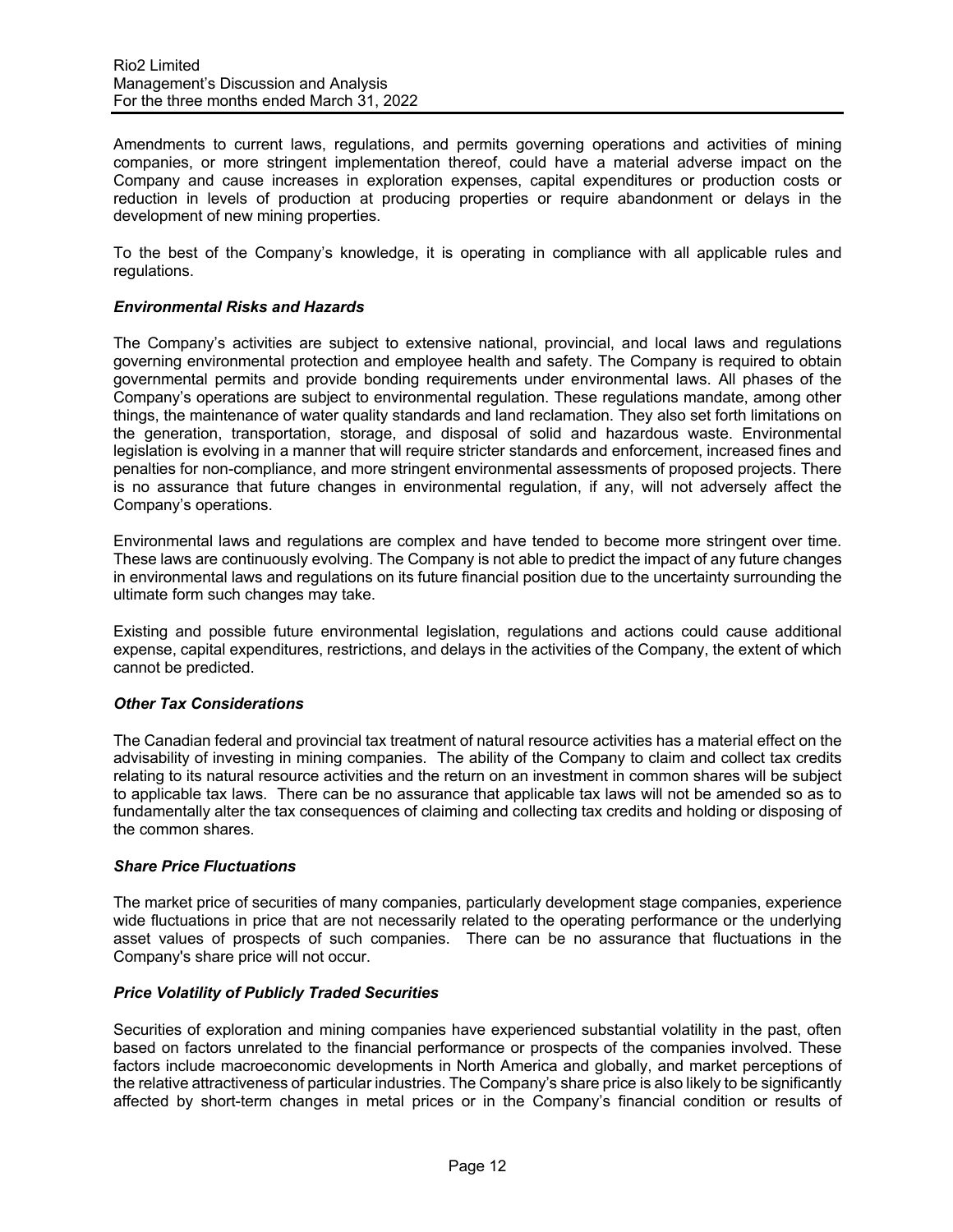Amendments to current laws, regulations, and permits governing operations and activities of mining companies, or more stringent implementation thereof, could have a material adverse impact on the Company and cause increases in exploration expenses, capital expenditures or production costs or reduction in levels of production at producing properties or require abandonment or delays in the development of new mining properties.

To the best of the Company's knowledge, it is operating in compliance with all applicable rules and regulations.

## *Environmental Risks and Hazards*

The Company's activities are subject to extensive national, provincial, and local laws and regulations governing environmental protection and employee health and safety. The Company is required to obtain governmental permits and provide bonding requirements under environmental laws. All phases of the Company's operations are subject to environmental regulation. These regulations mandate, among other things, the maintenance of water quality standards and land reclamation. They also set forth limitations on the generation, transportation, storage, and disposal of solid and hazardous waste. Environmental legislation is evolving in a manner that will require stricter standards and enforcement, increased fines and penalties for non-compliance, and more stringent environmental assessments of proposed projects. There is no assurance that future changes in environmental regulation, if any, will not adversely affect the Company's operations.

Environmental laws and regulations are complex and have tended to become more stringent over time. These laws are continuously evolving. The Company is not able to predict the impact of any future changes in environmental laws and regulations on its future financial position due to the uncertainty surrounding the ultimate form such changes may take.

Existing and possible future environmental legislation, regulations and actions could cause additional expense, capital expenditures, restrictions, and delays in the activities of the Company, the extent of which cannot be predicted.

### *Other Tax Considerations*

The Canadian federal and provincial tax treatment of natural resource activities has a material effect on the advisability of investing in mining companies. The ability of the Company to claim and collect tax credits relating to its natural resource activities and the return on an investment in common shares will be subject to applicable tax laws. There can be no assurance that applicable tax laws will not be amended so as to fundamentally alter the tax consequences of claiming and collecting tax credits and holding or disposing of the common shares.

### *Share Price Fluctuations*

The market price of securities of many companies, particularly development stage companies, experience wide fluctuations in price that are not necessarily related to the operating performance or the underlying asset values of prospects of such companies. There can be no assurance that fluctuations in the Company's share price will not occur.

### *Price Volatility of Publicly Traded Securities*

Securities of exploration and mining companies have experienced substantial volatility in the past, often based on factors unrelated to the financial performance or prospects of the companies involved. These factors include macroeconomic developments in North America and globally, and market perceptions of the relative attractiveness of particular industries. The Company's share price is also likely to be significantly affected by short-term changes in metal prices or in the Company's financial condition or results of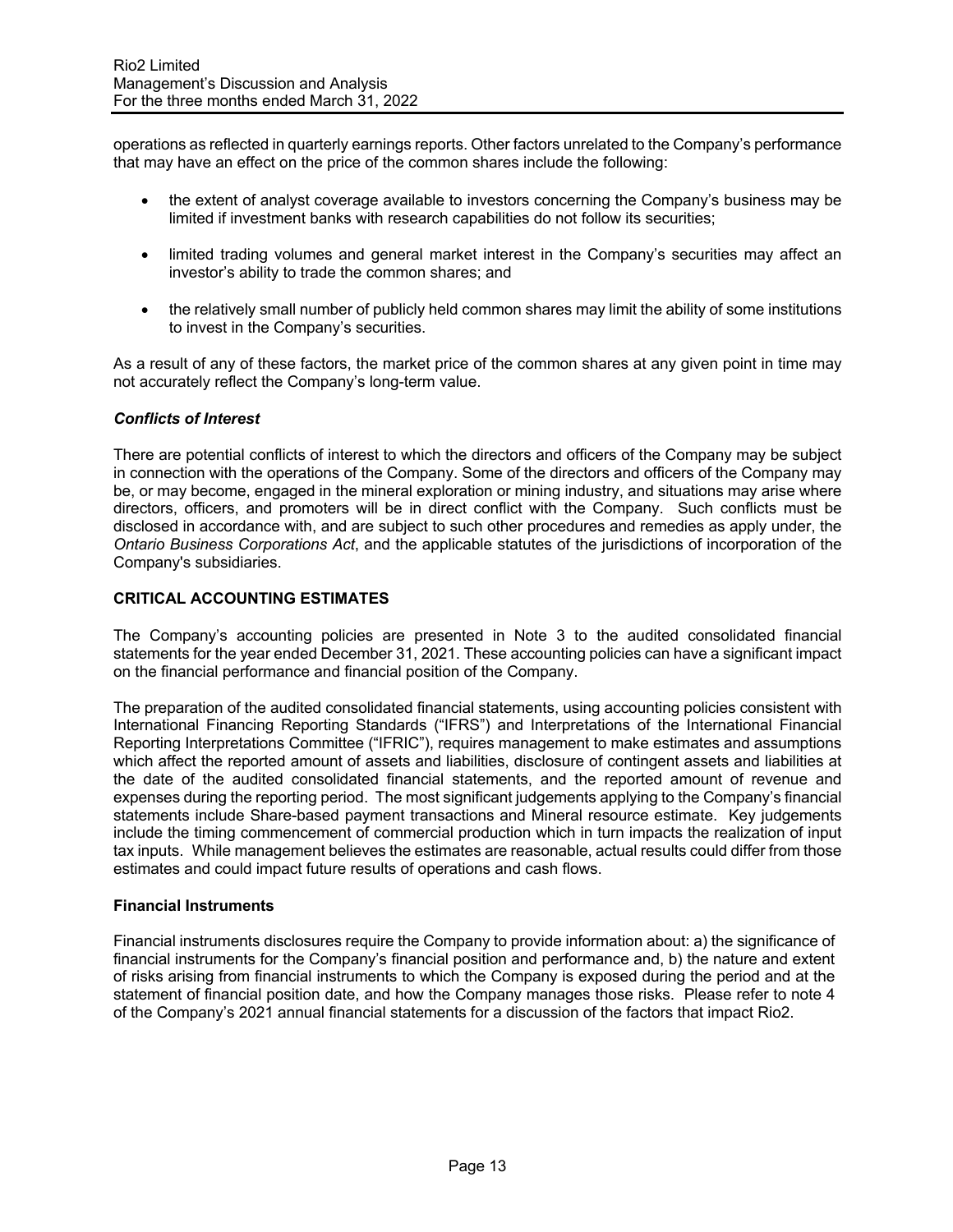operations as reflected in quarterly earnings reports. Other factors unrelated to the Company's performance that may have an effect on the price of the common shares include the following:

- the extent of analyst coverage available to investors concerning the Company's business may be limited if investment banks with research capabilities do not follow its securities;
- limited trading volumes and general market interest in the Company's securities may affect an investor's ability to trade the common shares; and
- the relatively small number of publicly held common shares may limit the ability of some institutions to invest in the Company's securities.

As a result of any of these factors, the market price of the common shares at any given point in time may not accurately reflect the Company's long-term value.

## *Conflicts of Interest*

There are potential conflicts of interest to which the directors and officers of the Company may be subject in connection with the operations of the Company. Some of the directors and officers of the Company may be, or may become, engaged in the mineral exploration or mining industry, and situations may arise where directors, officers, and promoters will be in direct conflict with the Company. Such conflicts must be disclosed in accordance with, and are subject to such other procedures and remedies as apply under, the *Ontario Business Corporations Act*, and the applicable statutes of the jurisdictions of incorporation of the Company's subsidiaries.

## **CRITICAL ACCOUNTING ESTIMATES**

The Company's accounting policies are presented in Note 3 to the audited consolidated financial statements for the year ended December 31, 2021. These accounting policies can have a significant impact on the financial performance and financial position of the Company.

The preparation of the audited consolidated financial statements, using accounting policies consistent with International Financing Reporting Standards ("IFRS") and Interpretations of the International Financial Reporting Interpretations Committee ("IFRIC"), requires management to make estimates and assumptions which affect the reported amount of assets and liabilities, disclosure of contingent assets and liabilities at the date of the audited consolidated financial statements, and the reported amount of revenue and expenses during the reporting period. The most significant judgements applying to the Company's financial statements include Share-based payment transactions and Mineral resource estimate. Key judgements include the timing commencement of commercial production which in turn impacts the realization of input tax inputs. While management believes the estimates are reasonable, actual results could differ from those estimates and could impact future results of operations and cash flows.

### **Financial Instruments**

Financial instruments disclosures require the Company to provide information about: a) the significance of financial instruments for the Company's financial position and performance and, b) the nature and extent of risks arising from financial instruments to which the Company is exposed during the period and at the statement of financial position date, and how the Company manages those risks. Please refer to note 4 of the Company's 2021 annual financial statements for a discussion of the factors that impact Rio2.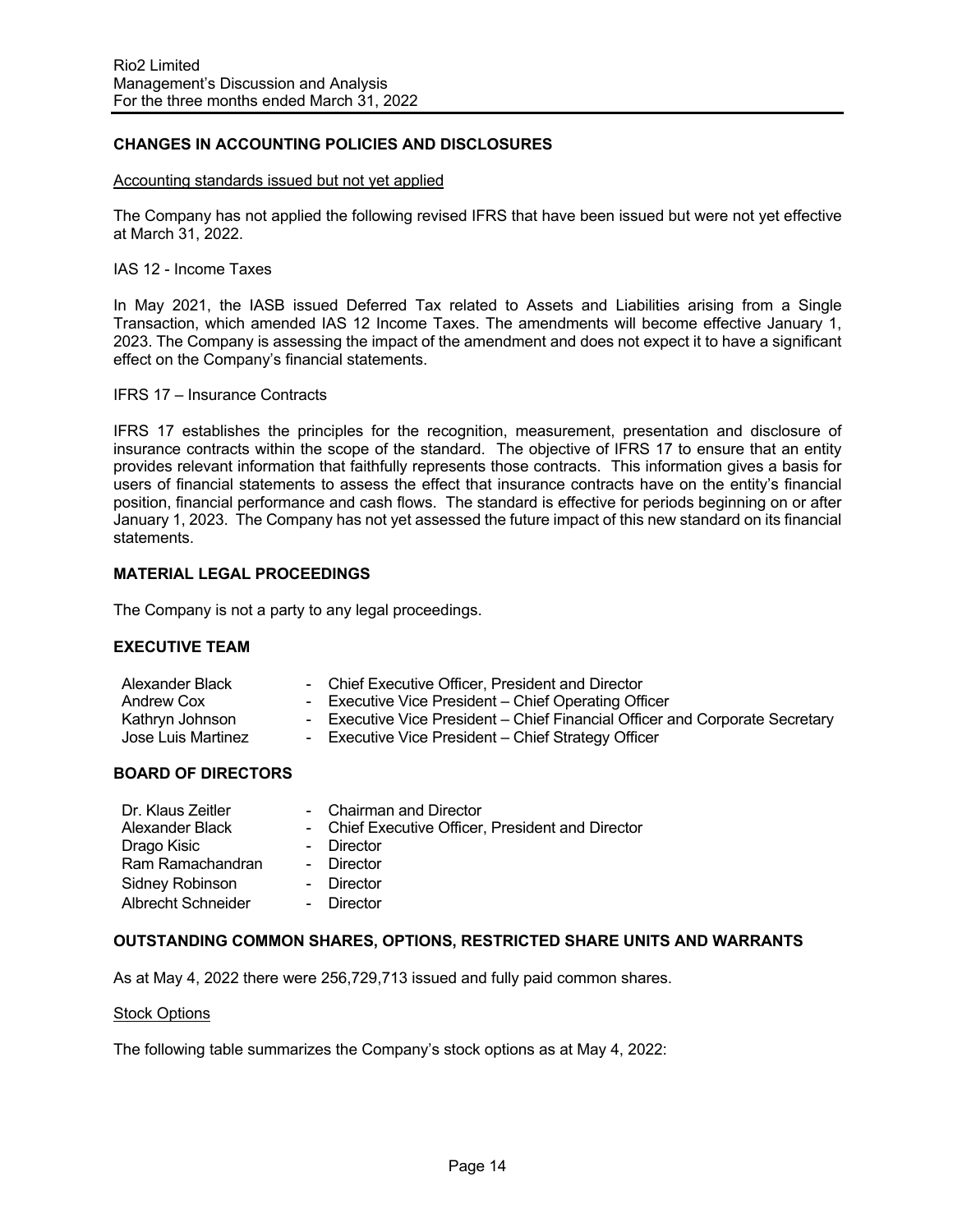## **CHANGES IN ACCOUNTING POLICIES AND DISCLOSURES**

#### Accounting standards issued but not yet applied

The Company has not applied the following revised IFRS that have been issued but were not yet effective at March 31, 2022.

### IAS 12 - Income Taxes

In May 2021, the IASB issued Deferred Tax related to Assets and Liabilities arising from a Single Transaction, which amended IAS 12 Income Taxes. The amendments will become effective January 1, 2023. The Company is assessing the impact of the amendment and does not expect it to have a significant effect on the Company's financial statements.

#### IFRS 17 – Insurance Contracts

IFRS 17 establishes the principles for the recognition, measurement, presentation and disclosure of insurance contracts within the scope of the standard. The objective of IFRS 17 to ensure that an entity provides relevant information that faithfully represents those contracts. This information gives a basis for users of financial statements to assess the effect that insurance contracts have on the entity's financial position, financial performance and cash flows. The standard is effective for periods beginning on or after January 1, 2023. The Company has not yet assessed the future impact of this new standard on its financial statements.

### **MATERIAL LEGAL PROCEEDINGS**

The Company is not a party to any legal proceedings.

### **EXECUTIVE TEAM**

| Alexander Black                       | - Chief Executive Officer, President and Director                                                                                   |
|---------------------------------------|-------------------------------------------------------------------------------------------------------------------------------------|
| Andrew Cox                            | - Executive Vice President – Chief Operating Officer                                                                                |
| Kathryn Johnson<br>Jose Luis Martinez | - Executive Vice President – Chief Financial Officer and Corporate Secretary<br>- Executive Vice President – Chief Strategy Officer |
|                                       |                                                                                                                                     |

# **BOARD OF DIRECTORS**

| Dr. Klaus Zeitler  | - Chairman and Director                           |
|--------------------|---------------------------------------------------|
| Alexander Black    | - Chief Executive Officer, President and Director |
| Drago Kisic        | - Director                                        |
| Ram Ramachandran   | - Director                                        |
| Sidney Robinson    | - Director                                        |
| Albrecht Schneider | - Director                                        |

### **OUTSTANDING COMMON SHARES, OPTIONS, RESTRICTED SHARE UNITS AND WARRANTS**

As at May 4, 2022 there were 256,729,713 issued and fully paid common shares.

#### Stock Options

The following table summarizes the Company's stock options as at May 4, 2022: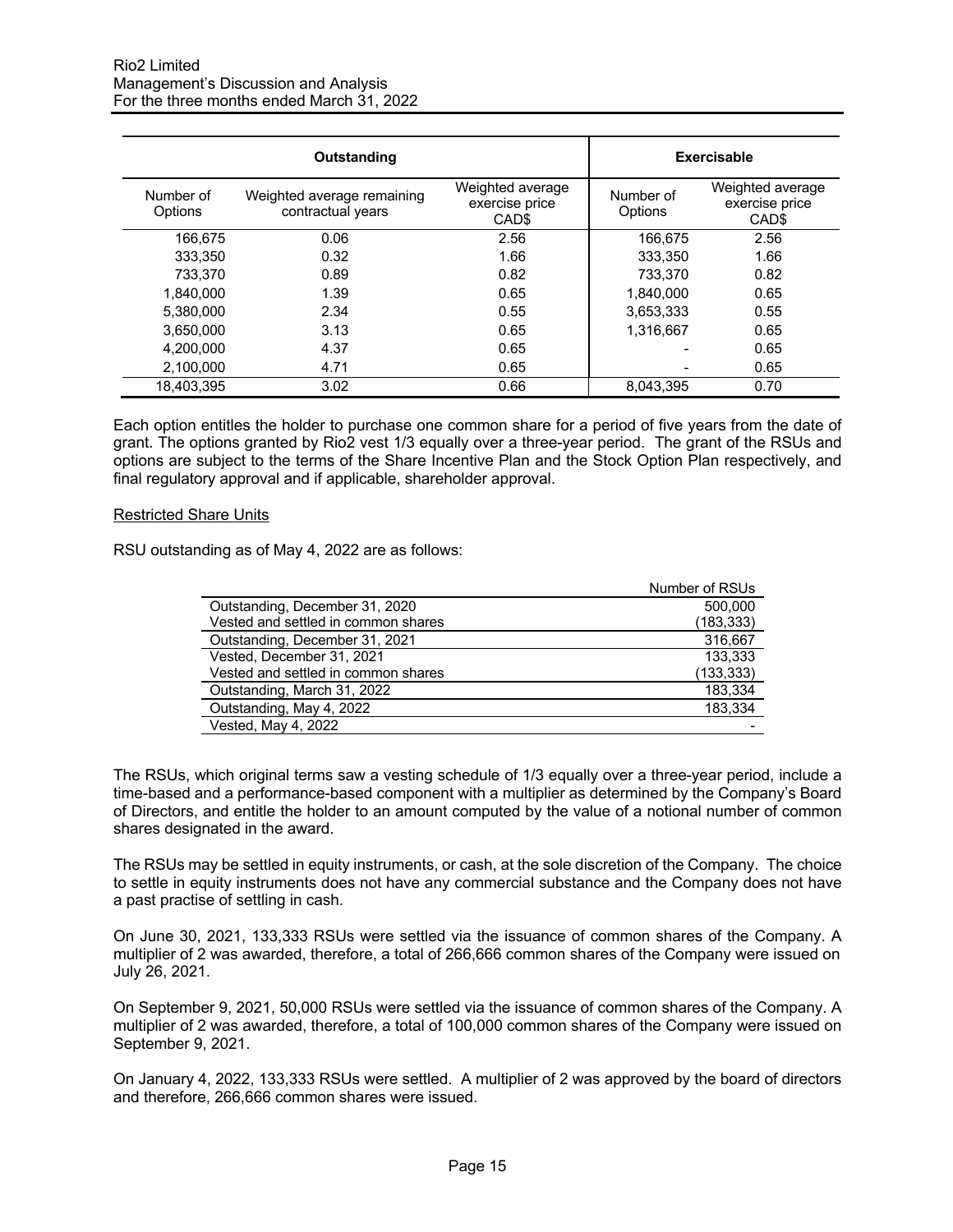|                      | Outstanding                                     |                                                         | <b>Exercisable</b>   |                                                         |
|----------------------|-------------------------------------------------|---------------------------------------------------------|----------------------|---------------------------------------------------------|
| Number of<br>Options | Weighted average remaining<br>contractual years | Weighted average<br>exercise price<br>CAD <sub>\$</sub> | Number of<br>Options | Weighted average<br>exercise price<br>CAD <sub>\$</sub> |
| 166.675              | 0.06                                            | 2.56                                                    | 166,675              | 2.56                                                    |
| 333.350              | 0.32                                            | 1.66                                                    | 333.350              | 1.66                                                    |
| 733.370              | 0.89                                            | 0.82                                                    | 733,370              | 0.82                                                    |
| 1.840.000            | 1.39                                            | 0.65                                                    | 1.840.000            | 0.65                                                    |
| 5.380.000            | 2.34                                            | 0.55                                                    | 3,653,333            | 0.55                                                    |
| 3.650.000            | 3.13                                            | 0.65                                                    | 1,316,667            | 0.65                                                    |
| 4,200,000            | 4.37                                            | 0.65                                                    |                      | 0.65                                                    |
| 2,100,000            | 4.71                                            | 0.65                                                    |                      | 0.65                                                    |
| 18.403.395           | 3.02                                            | 0.66                                                    | 8.043.395            | 0.70                                                    |

Each option entitles the holder to purchase one common share for a period of five years from the date of grant. The options granted by Rio2 vest 1/3 equally over a three-year period. The grant of the RSUs and options are subject to the terms of the Share Incentive Plan and the Stock Option Plan respectively, and final regulatory approval and if applicable, shareholder approval.

#### Restricted Share Units

RSU outstanding as of May 4, 2022 are as follows:

| Number of RSUs |
|----------------|
| 500,000        |
| (183, 333)     |
| 316.667        |
| 133,333        |
| (133, 333)     |
| 183,334        |
| 183,334        |
|                |
|                |

The RSUs, which original terms saw a vesting schedule of 1/3 equally over a three-year period, include a time-based and a performance-based component with a multiplier as determined by the Company's Board of Directors, and entitle the holder to an amount computed by the value of a notional number of common shares designated in the award.

The RSUs may be settled in equity instruments, or cash, at the sole discretion of the Company. The choice to settle in equity instruments does not have any commercial substance and the Company does not have a past practise of settling in cash.

On June 30, 2021, 133,333 RSUs were settled via the issuance of common shares of the Company. A multiplier of 2 was awarded, therefore, a total of 266,666 common shares of the Company were issued on July 26, 2021.

On September 9, 2021, 50,000 RSUs were settled via the issuance of common shares of the Company. A multiplier of 2 was awarded, therefore, a total of 100,000 common shares of the Company were issued on September 9, 2021.

On January 4, 2022, 133,333 RSUs were settled. A multiplier of 2 was approved by the board of directors and therefore, 266,666 common shares were issued.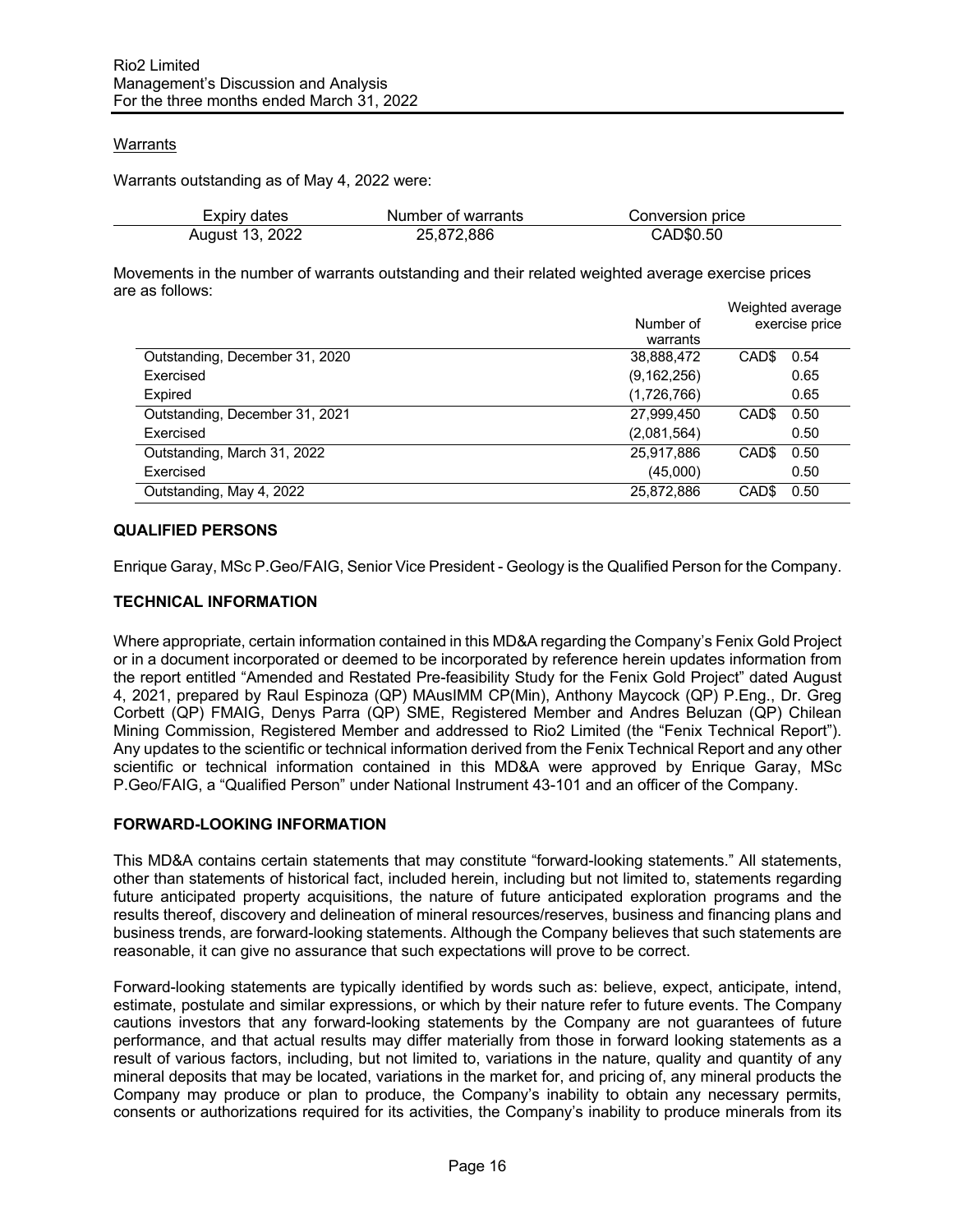## Warrants

Warrants outstanding as of May 4, 2022 were:

| Expiry dates    | Number of warrants | Conversion price |  |
|-----------------|--------------------|------------------|--|
| August 13, 2022 | 25,872,886         | CAD\$0.50        |  |

Movements in the number of warrants outstanding and their related weighted average exercise prices are as follows:

|                                |               |                   | Weighted average |
|--------------------------------|---------------|-------------------|------------------|
|                                | Number of     |                   | exercise price   |
|                                | warrants      |                   |                  |
| Outstanding, December 31, 2020 | 38,888,472    | CAD\$             | 0.54             |
| Exercised                      | (9, 162, 256) |                   | 0.65             |
| Expired                        | (1,726,766)   |                   | 0.65             |
| Outstanding, December 31, 2021 | 27,999,450    | CAD <sub>\$</sub> | 0.50             |
| Exercised                      | (2,081,564)   |                   | 0.50             |
| Outstanding, March 31, 2022    | 25,917,886    | CAD <sub>\$</sub> | 0.50             |
| Exercised                      | (45,000)      |                   | 0.50             |
| Outstanding, May 4, 2022       | 25,872,886    | CAD <sub>\$</sub> | 0.50             |

## **QUALIFIED PERSONS**

Enrique Garay, MSc P.Geo/FAIG, Senior Vice President - Geology is the Qualified Person for the Company.

### **TECHNICAL INFORMATION**

Where appropriate, certain information contained in this MD&A regarding the Company's Fenix Gold Project or in a document incorporated or deemed to be incorporated by reference herein updates information from the report entitled "Amended and Restated Pre-feasibility Study for the Fenix Gold Project" dated August 4, 2021, prepared by Raul Espinoza (QP) MAusIMM CP(Min), Anthony Maycock (QP) P.Eng., Dr. Greg Corbett (QP) FMAIG, Denys Parra (QP) SME, Registered Member and Andres Beluzan (QP) Chilean Mining Commission, Registered Member and addressed to Rio2 Limited (the "Fenix Technical Report"). Any updates to the scientific or technical information derived from the Fenix Technical Report and any other scientific or technical information contained in this MD&A were approved by Enrique Garay, MSc P.Geo/FAIG, a "Qualified Person" under National Instrument 43-101 and an officer of the Company.

### **FORWARD-LOOKING INFORMATION**

This MD&A contains certain statements that may constitute "forward-looking statements." All statements, other than statements of historical fact, included herein, including but not limited to, statements regarding future anticipated property acquisitions, the nature of future anticipated exploration programs and the results thereof, discovery and delineation of mineral resources/reserves, business and financing plans and business trends, are forward-looking statements. Although the Company believes that such statements are reasonable, it can give no assurance that such expectations will prove to be correct.

Forward-looking statements are typically identified by words such as: believe, expect, anticipate, intend, estimate, postulate and similar expressions, or which by their nature refer to future events. The Company cautions investors that any forward-looking statements by the Company are not guarantees of future performance, and that actual results may differ materially from those in forward looking statements as a result of various factors, including, but not limited to, variations in the nature, quality and quantity of any mineral deposits that may be located, variations in the market for, and pricing of, any mineral products the Company may produce or plan to produce, the Company's inability to obtain any necessary permits, consents or authorizations required for its activities, the Company's inability to produce minerals from its